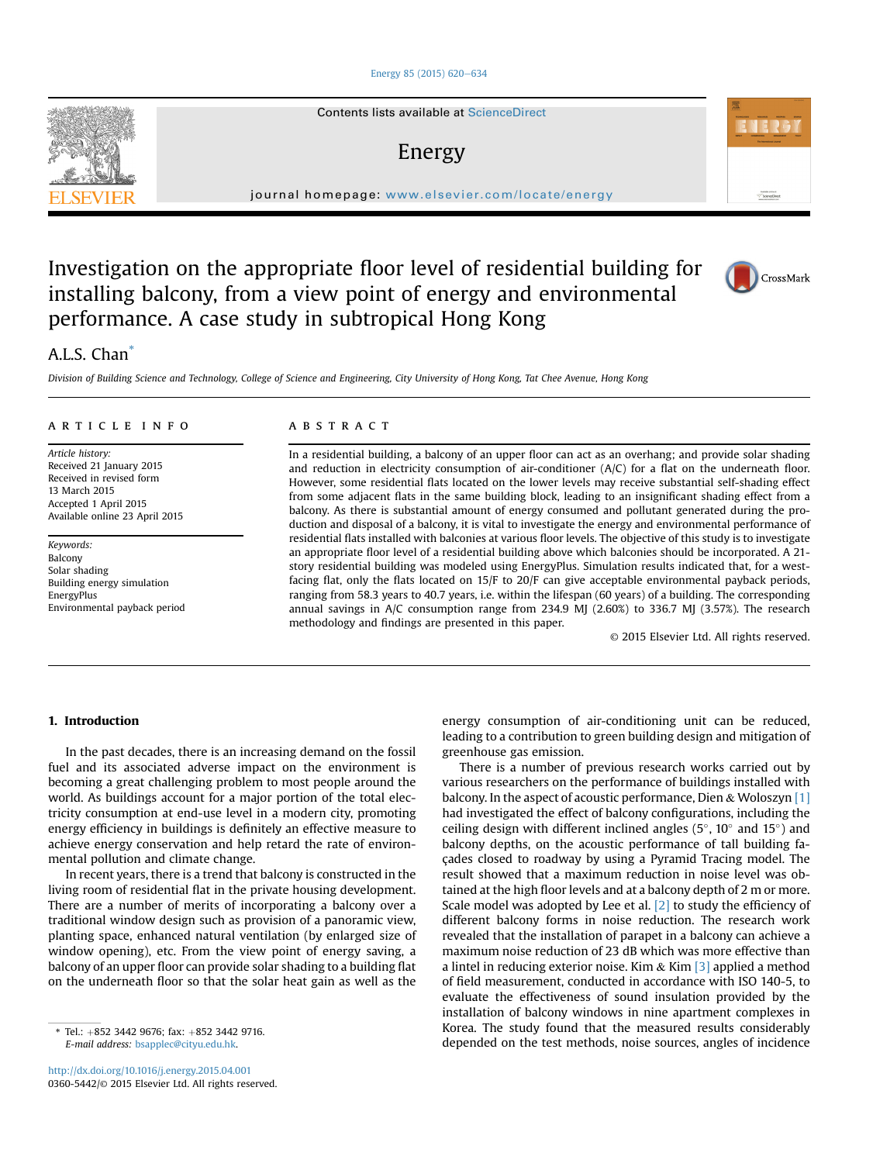#### [Energy 85 \(2015\) 620](http://dx.doi.org/10.1016/j.energy.2015.04.001)-[634](http://dx.doi.org/10.1016/j.energy.2015.04.001)

Contents lists available at ScienceDirect

## Energy

journal homepage: [www.elsevier.com/locate/energy](http://www.elsevier.com/locate/energy)

## Investigation on the appropriate floor level of residential building for installing balcony, from a view point of energy and environmental performance. A case study in subtropical Hong Kong

### A.L.S. Chan<sup>\*</sup>

Division of Building Science and Technology, College of Science and Engineering, City University of Hong Kong, Tat Chee Avenue, Hong Kong

#### article info

Article history: Received 21 January 2015 Received in revised form 13 March 2015 Accepted 1 April 2015 Available online 23 April 2015

Keywords: Balcony Solar shading Building energy simulation EnergyPlus Environmental payback period

#### **ABSTRACT**

In a residential building, a balcony of an upper floor can act as an overhang; and provide solar shading and reduction in electricity consumption of air-conditioner  $(A/C)$  for a flat on the underneath floor. However, some residential flats located on the lower levels may receive substantial self-shading effect from some adjacent flats in the same building block, leading to an insignificant shading effect from a balcony. As there is substantial amount of energy consumed and pollutant generated during the production and disposal of a balcony, it is vital to investigate the energy and environmental performance of residential flats installed with balconies at various floor levels. The objective of this study is to investigate an appropriate floor level of a residential building above which balconies should be incorporated. A 21 story residential building was modeled using EnergyPlus. Simulation results indicated that, for a westfacing flat, only the flats located on 15/F to 20/F can give acceptable environmental payback periods, ranging from 58.3 years to 40.7 years, i.e. within the lifespan (60 years) of a building. The corresponding annual savings in A/C consumption range from 234.9 MJ (2.60%) to 336.7 MJ (3.57%). The research methodology and findings are presented in this paper.

© 2015 Elsevier Ltd. All rights reserved.

#### 1. Introduction

In the past decades, there is an increasing demand on the fossil fuel and its associated adverse impact on the environment is becoming a great challenging problem to most people around the world. As buildings account for a major portion of the total electricity consumption at end-use level in a modern city, promoting energy efficiency in buildings is definitely an effective measure to achieve energy conservation and help retard the rate of environmental pollution and climate change.

In recent years, there is a trend that balcony is constructed in the living room of residential flat in the private housing development. There are a number of merits of incorporating a balcony over a traditional window design such as provision of a panoramic view, planting space, enhanced natural ventilation (by enlarged size of window opening), etc. From the view point of energy saving, a balcony of an upper floor can provide solar shading to a building flat on the underneath floor so that the solar heat gain as well as the energy consumption of air-conditioning unit can be reduced, leading to a contribution to green building design and mitigation of greenhouse gas emission.

There is a number of previous research works carried out by various researchers on the performance of buildings installed with balcony. In the aspect of acoustic performance, Dien & Woloszyn [1] had investigated the effect of balcony configurations, including the ceiling design with different inclined angles ( $5^{\circ}$ ,  $10^{\circ}$  and  $15^{\circ}$ ) and balcony depths, on the acoustic performance of tall building façades closed to roadway by using a Pyramid Tracing model. The result showed that a maximum reduction in noise level was obtained at the high floor levels and at a balcony depth of 2 m or more. Scale model was adopted by Lee et al.  $[2]$  to study the efficiency of different balcony forms in noise reduction. The research work revealed that the installation of parapet in a balcony can achieve a maximum noise reduction of 23 dB which was more effective than a lintel in reducing exterior noise. Kim  $\&$  Kim  $[3]$  applied a method of field measurement, conducted in accordance with ISO 140-5, to evaluate the effectiveness of sound insulation provided by the installation of balcony windows in nine apartment complexes in Korea. The study found that the measured results considerably depended on the test methods, noise sources, angles of incidence





Automotive at<br>ScienceDires

<sup>\*</sup> Tel.:  $+852$  3442 9676; fax:  $+852$  3442 9716. E-mail address: [bsapplec@cityu.edu.hk.](mailto:bsapplec@cityu.edu.hk)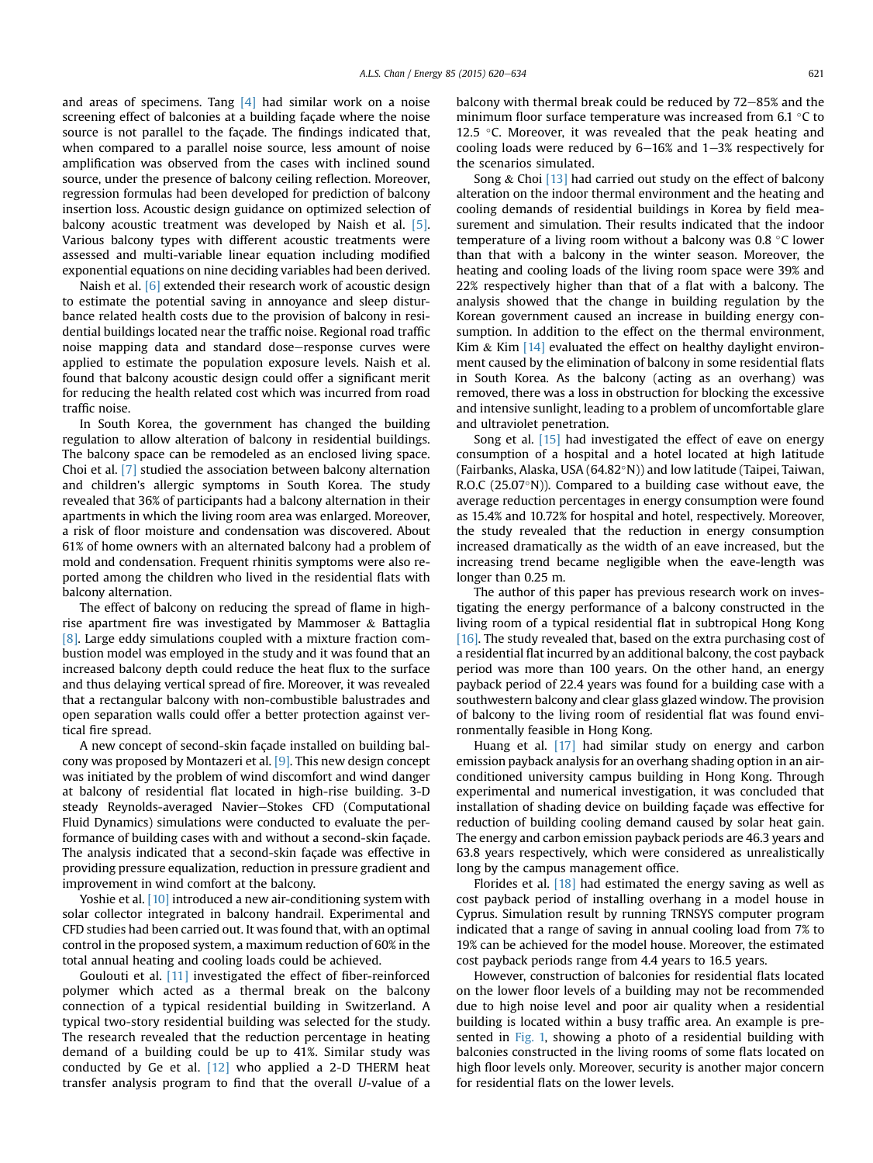and areas of specimens. Tang  $[4]$  had similar work on a noise screening effect of balconies at a building façade where the noise source is not parallel to the façade. The findings indicated that, when compared to a parallel noise source, less amount of noise amplification was observed from the cases with inclined sound source, under the presence of balcony ceiling reflection. Moreover, regression formulas had been developed for prediction of balcony insertion loss. Acoustic design guidance on optimized selection of balcony acoustic treatment was developed by Naish et al. [5]. Various balcony types with different acoustic treatments were assessed and multi-variable linear equation including modified exponential equations on nine deciding variables had been derived.

Naish et al. [6] extended their research work of acoustic design to estimate the potential saving in annoyance and sleep disturbance related health costs due to the provision of balcony in residential buildings located near the traffic noise. Regional road traffic noise mapping data and standard dose-response curves were applied to estimate the population exposure levels. Naish et al. found that balcony acoustic design could offer a significant merit for reducing the health related cost which was incurred from road traffic noise.

In South Korea, the government has changed the building regulation to allow alteration of balcony in residential buildings. The balcony space can be remodeled as an enclosed living space. Choi et al. [7] studied the association between balcony alternation and children's allergic symptoms in South Korea. The study revealed that 36% of participants had a balcony alternation in their apartments in which the living room area was enlarged. Moreover, a risk of floor moisture and condensation was discovered. About 61% of home owners with an alternated balcony had a problem of mold and condensation. Frequent rhinitis symptoms were also reported among the children who lived in the residential flats with balcony alternation.

The effect of balcony on reducing the spread of flame in highrise apartment fire was investigated by Mammoser & Battaglia [8]. Large eddy simulations coupled with a mixture fraction combustion model was employed in the study and it was found that an increased balcony depth could reduce the heat flux to the surface and thus delaying vertical spread of fire. Moreover, it was revealed that a rectangular balcony with non-combustible balustrades and open separation walls could offer a better protection against vertical fire spread.

A new concept of second-skin façade installed on building balcony was proposed by Montazeri et al. [9]. This new design concept was initiated by the problem of wind discomfort and wind danger at balcony of residential flat located in high-rise building. 3-D steady Reynolds-averaged Navier-Stokes CFD (Computational Fluid Dynamics) simulations were conducted to evaluate the performance of building cases with and without a second-skin façade. The analysis indicated that a second-skin façade was effective in providing pressure equalization, reduction in pressure gradient and improvement in wind comfort at the balcony.

Yoshie et al. [10] introduced a new air-conditioning system with solar collector integrated in balcony handrail. Experimental and CFD studies had been carried out. It was found that, with an optimal control in the proposed system, a maximum reduction of 60% in the total annual heating and cooling loads could be achieved.

Goulouti et al. [11] investigated the effect of fiber-reinforced polymer which acted as a thermal break on the balcony connection of a typical residential building in Switzerland. A typical two-story residential building was selected for the study. The research revealed that the reduction percentage in heating demand of a building could be up to 41%. Similar study was conducted by Ge et al. [12] who applied a 2-D THERM heat transfer analysis program to find that the overall U-value of a balcony with thermal break could be reduced by  $72-85%$  and the minimum floor surface temperature was increased from 6.1  $\degree$ C to 12.5  $\degree$ C. Moreover, it was revealed that the peak heating and cooling loads were reduced by  $6-16%$  and  $1-3%$  respectively for the scenarios simulated.

Song  $&$  Choi [13] had carried out study on the effect of balcony alteration on the indoor thermal environment and the heating and cooling demands of residential buildings in Korea by field measurement and simulation. Their results indicated that the indoor temperature of a living room without a balcony was  $0.8 \degree C$  lower than that with a balcony in the winter season. Moreover, the heating and cooling loads of the living room space were 39% and 22% respectively higher than that of a flat with a balcony. The analysis showed that the change in building regulation by the Korean government caused an increase in building energy consumption. In addition to the effect on the thermal environment, Kim & Kim  $[14]$  evaluated the effect on healthy daylight environment caused by the elimination of balcony in some residential flats in South Korea. As the balcony (acting as an overhang) was removed, there was a loss in obstruction for blocking the excessive and intensive sunlight, leading to a problem of uncomfortable glare and ultraviolet penetration.

Song et al. <a>[15]</a> had investigated the effect of eave on energy consumption of a hospital and a hotel located at high latitude (Fairbanks, Alaska, USA ( $64.82°N$ )) and low latitude (Taipei, Taiwan, R.O.C (25.07 $\textdegree$ N)). Compared to a building case without eave, the average reduction percentages in energy consumption were found as 15.4% and 10.72% for hospital and hotel, respectively. Moreover, the study revealed that the reduction in energy consumption increased dramatically as the width of an eave increased, but the increasing trend became negligible when the eave-length was longer than 0.25 m.

The author of this paper has previous research work on investigating the energy performance of a balcony constructed in the living room of a typical residential flat in subtropical Hong Kong [16]. The study revealed that, based on the extra purchasing cost of a residential flat incurred by an additional balcony, the cost payback period was more than 100 years. On the other hand, an energy payback period of 22.4 years was found for a building case with a southwestern balcony and clear glass glazed window. The provision of balcony to the living room of residential flat was found environmentally feasible in Hong Kong.

Huang et al. [17] had similar study on energy and carbon emission payback analysis for an overhang shading option in an airconditioned university campus building in Hong Kong. Through experimental and numerical investigation, it was concluded that installation of shading device on building façade was effective for reduction of building cooling demand caused by solar heat gain. The energy and carbon emission payback periods are 46.3 years and 63.8 years respectively, which were considered as unrealistically long by the campus management office.

Florides et al. [18] had estimated the energy saving as well as cost payback period of installing overhang in a model house in Cyprus. Simulation result by running TRNSYS computer program indicated that a range of saving in annual cooling load from 7% to 19% can be achieved for the model house. Moreover, the estimated cost payback periods range from 4.4 years to 16.5 years.

However, construction of balconies for residential flats located on the lower floor levels of a building may not be recommended due to high noise level and poor air quality when a residential building is located within a busy traffic area. An example is presented in Fig. 1, showing a photo of a residential building with balconies constructed in the living rooms of some flats located on high floor levels only. Moreover, security is another major concern for residential flats on the lower levels.